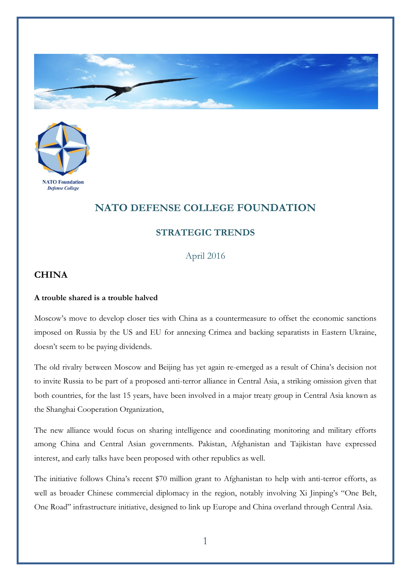



## **NATO DEFENSE COLLEGE FOUNDATION**

## **STRATEGIC TRENDS**

April 2016

## **CHINA**

## **A trouble shared is a trouble halved**

Moscow's move to develop closer ties with China as a countermeasure to offset the economic sanctions imposed on Russia by the US and EU for annexing Crimea and backing separatists in Eastern Ukraine, doesn't seem to be paying dividends.

The old rivalry between Moscow and Beijing has yet again re-emerged as a result of China's decision not to invite Russia to be part of a proposed anti-terror alliance in Central Asia, a striking omission given that both countries, for the last 15 years, have been involved in a major treaty group in Central Asia known as the Shanghai Cooperation Organization,

The new alliance would focus on sharing intelligence and coordinating monitoring and military efforts among China and Central Asian governments. Pakistan, Afghanistan and Tajikistan have expressed interest, and early talks have been proposed with other republics as well.

The initiative follows China's recent \$70 million grant to Afghanistan to help with anti-terror efforts, as well as broader Chinese commercial diplomacy in the region, notably involving Xi Jinping's "One Belt, One Road" infrastructure initiative, designed to link up Europe and China overland through Central Asia.